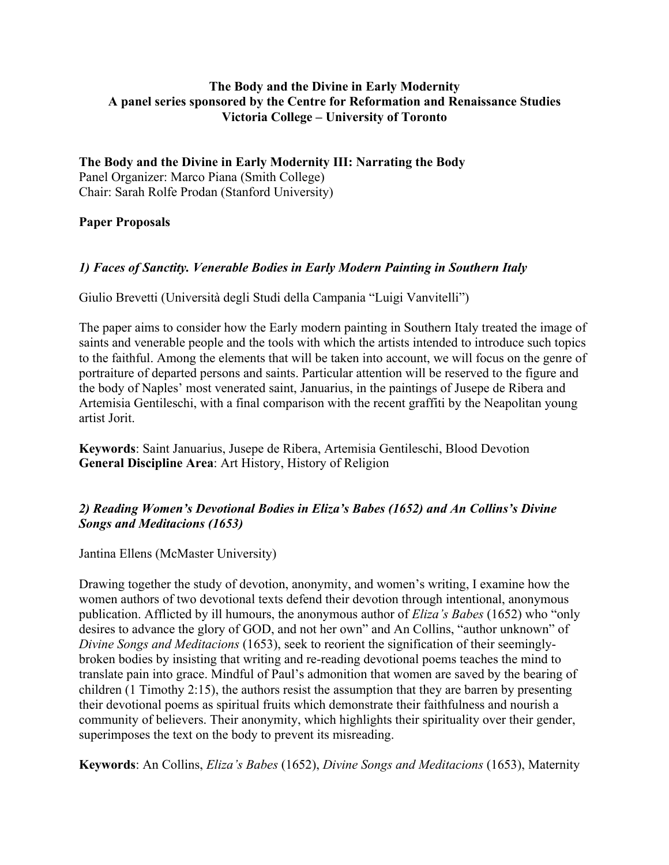#### **The Body and the Divine in Early Modernity A panel series sponsored by the Centre for Reformation and Renaissance Studies Victoria College – University of Toronto**

**The Body and the Divine in Early Modernity III: Narrating the Body** Panel Organizer: Marco Piana (Smith College) Chair: Sarah Rolfe Prodan (Stanford University)

#### **Paper Proposals**

### *1) Faces of Sanctity. Venerable Bodies in Early Modern Painting in Southern Italy*

Giulio Brevetti (Università degli Studi della Campania "Luigi Vanvitelli")

The paper aims to consider how the Early modern painting in Southern Italy treated the image of saints and venerable people and the tools with which the artists intended to introduce such topics to the faithful. Among the elements that will be taken into account, we will focus on the genre of portraiture of departed persons and saints. Particular attention will be reserved to the figure and the body of Naples' most venerated saint, Januarius, in the paintings of Jusepe de Ribera and Artemisia Gentileschi, with a final comparison with the recent graffiti by the Neapolitan young artist Jorit.

**Keywords**: Saint Januarius, Jusepe de Ribera, Artemisia Gentileschi, Blood Devotion **General Discipline Area**: Art History, History of Religion

### *2) Reading Women's Devotional Bodies in Eliza's Babes (1652) and An Collins's Divine Songs and Meditacions (1653)*

Jantina Ellens (McMaster University)

Drawing together the study of devotion, anonymity, and women's writing, I examine how the women authors of two devotional texts defend their devotion through intentional, anonymous publication. Afflicted by ill humours, the anonymous author of *Eliza's Babes* (1652) who "only desires to advance the glory of GOD, and not her own" and An Collins, "author unknown" of *Divine Songs and Meditacions* (1653), seek to reorient the signification of their seeminglybroken bodies by insisting that writing and re-reading devotional poems teaches the mind to translate pain into grace. Mindful of Paul's admonition that women are saved by the bearing of children (1 Timothy 2:15), the authors resist the assumption that they are barren by presenting their devotional poems as spiritual fruits which demonstrate their faithfulness and nourish a community of believers. Their anonymity, which highlights their spirituality over their gender, superimposes the text on the body to prevent its misreading.

**Keywords**: An Collins, *Eliza's Babes* (1652), *Divine Songs and Meditacions* (1653), Maternity